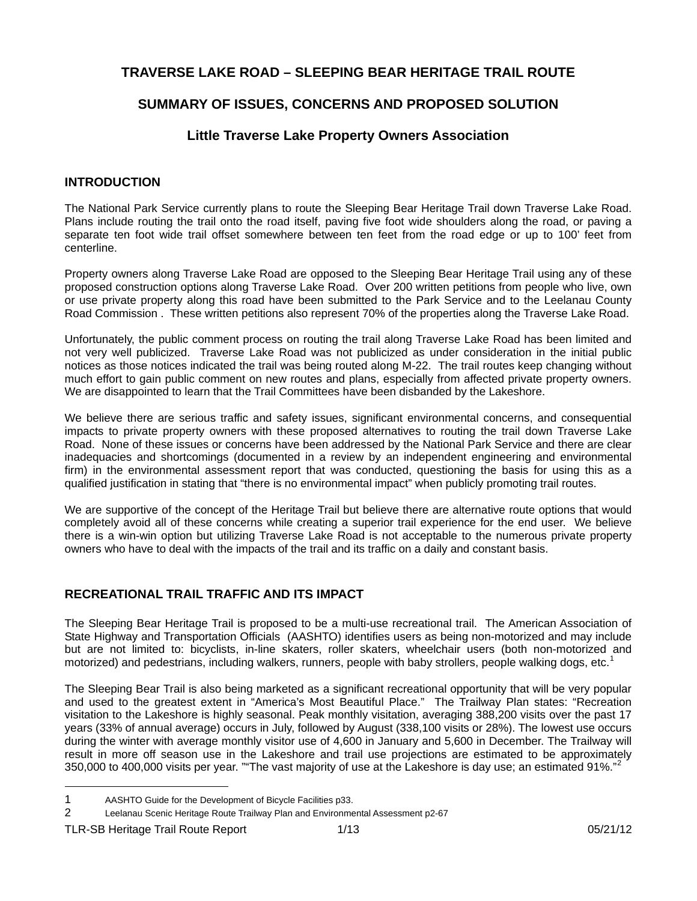## **TRAVERSE LAKE ROAD – SLEEPING BEAR HERITAGE TRAIL ROUTE**

## **SUMMARY OF ISSUES, CONCERNS AND PROPOSED SOLUTION**

## **Little Traverse Lake Property Owners Association**

### **INTRODUCTION**

The National Park Service currently plans to route the Sleeping Bear Heritage Trail down Traverse Lake Road. Plans include routing the trail onto the road itself, paving five foot wide shoulders along the road, or paving a separate ten foot wide trail offset somewhere between ten feet from the road edge or up to 100' feet from centerline.

Property owners along Traverse Lake Road are opposed to the Sleeping Bear Heritage Trail using any of these proposed construction options along Traverse Lake Road. Over 200 written petitions from people who live, own or use private property along this road have been submitted to the Park Service and to the Leelanau County Road Commission . These written petitions also represent 70% of the properties along the Traverse Lake Road.

Unfortunately, the public comment process on routing the trail along Traverse Lake Road has been limited and not very well publicized. Traverse Lake Road was not publicized as under consideration in the initial public notices as those notices indicated the trail was being routed along M-22. The trail routes keep changing without much effort to gain public comment on new routes and plans, especially from affected private property owners. We are disappointed to learn that the Trail Committees have been disbanded by the Lakeshore.

We believe there are serious traffic and safety issues, significant environmental concerns, and consequential impacts to private property owners with these proposed alternatives to routing the trail down Traverse Lake Road. None of these issues or concerns have been addressed by the National Park Service and there are clear inadequacies and shortcomings (documented in a review by an independent engineering and environmental firm) in the environmental assessment report that was conducted, questioning the basis for using this as a qualified justification in stating that "there is no environmental impact" when publicly promoting trail routes.

We are supportive of the concept of the Heritage Trail but believe there are alternative route options that would completely avoid all of these concerns while creating a superior trail experience for the end user. We believe there is a win-win option but utilizing Traverse Lake Road is not acceptable to the numerous private property owners who have to deal with the impacts of the trail and its traffic on a daily and constant basis.

### **RECREATIONAL TRAIL TRAFFIC AND ITS IMPACT**

The Sleeping Bear Heritage Trail is proposed to be a multi-use recreational trail. The American Association of State Highway and Transportation Officials (AASHTO) identifies users as being non-motorized and may include but are not limited to: bicyclists, in-line skaters, roller skaters, wheelchair users (both non-motorized and motorized) and pedestrians, including walkers, runners, people with baby strollers, people walking dogs, etc.<sup>[1](#page-0-0)</sup>

The Sleeping Bear Trail is also being marketed as a significant recreational opportunity that will be very popular and used to the greatest extent in "America's Most Beautiful Place." The Trailway Plan states: "Recreation visitation to the Lakeshore is highly seasonal. Peak monthly visitation, averaging 388,200 visits over the past 17 years (33% of annual average) occurs in July, followed by August (338,100 visits or 28%). The lowest use occurs during the winter with average monthly visitor use of 4,600 in January and 5,600 in December. The Trailway will result in more off season use in the Lakeshore and trail use projections are estimated to be approximately 350,000 to 400,000 visits per year. ""The vast majority of use at the Lakeshore is day use; an estimated 91%."

<span id="page-0-0"></span><sup>1</sup> AASHTO Guide for the Development of Bicycle Facilities p33.

<span id="page-0-1"></span><sup>2</sup> Leelanau Scenic Heritage Route Trailway Plan and Environmental Assessment p2-67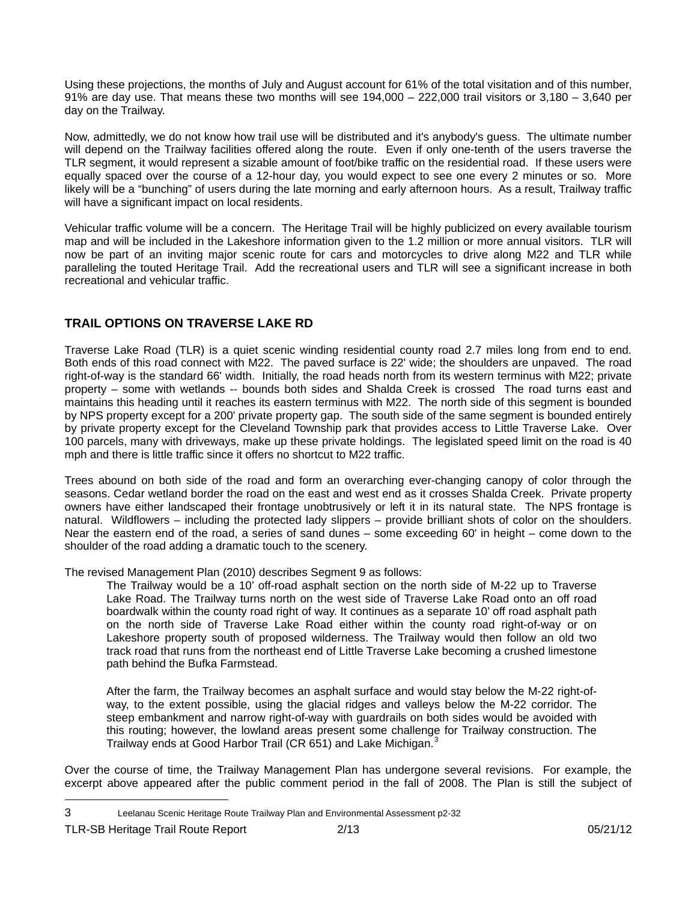Using these projections, the months of July and August account for 61% of the total visitation and of this number, 91% are day use. That means these two months will see  $194,000 - 222,000$  trail visitors or  $3,180 - 3,640$  per day on the Trailway.

Now, admittedly, we do not know how trail use will be distributed and it's anybody's guess. The ultimate number will depend on the Trailway facilities offered along the route. Even if only one-tenth of the users traverse the TLR segment, it would represent a sizable amount of foot/bike traffic on the residential road. If these users were equally spaced over the course of a 12-hour day, you would expect to see one every 2 minutes or so. More likely will be a "bunching" of users during the late morning and early afternoon hours. As a result, Trailway traffic will have a significant impact on local residents.

Vehicular traffic volume will be a concern. The Heritage Trail will be highly publicized on every available tourism map and will be included in the Lakeshore information given to the 1.2 million or more annual visitors. TLR will now be part of an inviting major scenic route for cars and motorcycles to drive along M22 and TLR while paralleling the touted Heritage Trail. Add the recreational users and TLR will see a significant increase in both recreational and vehicular traffic.

### **TRAIL OPTIONS ON TRAVERSE LAKE RD**

Traverse Lake Road (TLR) is a quiet scenic winding residential county road 2.7 miles long from end to end. Both ends of this road connect with M22. The paved surface is 22' wide; the shoulders are unpaved. The road right-of-way is the standard 66' width. Initially, the road heads north from its western terminus with M22; private property – some with wetlands -- bounds both sides and Shalda Creek is crossed The road turns east and maintains this heading until it reaches its eastern terminus with M22. The north side of this segment is bounded by NPS property except for a 200' private property gap. The south side of the same segment is bounded entirely by private property except for the Cleveland Township park that provides access to Little Traverse Lake. Over 100 parcels, many with driveways, make up these private holdings. The legislated speed limit on the road is 40 mph and there is little traffic since it offers no shortcut to M22 traffic.

Trees abound on both side of the road and form an overarching ever-changing canopy of color through the seasons. Cedar wetland border the road on the east and west end as it crosses Shalda Creek. Private property owners have either landscaped their frontage unobtrusively or left it in its natural state. The NPS frontage is natural. Wildflowers – including the protected lady slippers – provide brilliant shots of color on the shoulders. Near the eastern end of the road, a series of sand dunes – some exceeding 60' in height – come down to the shoulder of the road adding a dramatic touch to the scenery.

The revised Management Plan (2010) describes Segment 9 as follows:

The Trailway would be a 10' off-road asphalt section on the north side of M-22 up to Traverse Lake Road. The Trailway turns north on the west side of Traverse Lake Road onto an off road boardwalk within the county road right of way. It continues as a separate 10' off road asphalt path on the north side of Traverse Lake Road either within the county road right-of-way or on Lakeshore property south of proposed wilderness. The Trailway would then follow an old two track road that runs from the northeast end of Little Traverse Lake becoming a crushed limestone path behind the Bufka Farmstead.

After the farm, the Trailway becomes an asphalt surface and would stay below the M-22 right-ofway, to the extent possible, using the glacial ridges and valleys below the M-22 corridor. The steep embankment and narrow right-of-way with guardrails on both sides would be avoided with this routing; however, the lowland areas present some challenge for Trailway construction. The Trailway ends at Good Harbor Trail (CR 651) and Lake Michigan.<sup>[3](#page-1-0)</sup>

Over the course of time, the Trailway Management Plan has undergone several revisions. For example, the excerpt above appeared after the public comment period in the fall of 2008. The Plan is still the subject of

<span id="page-1-0"></span><sup>3</sup> Leelanau Scenic Heritage Route Trailway Plan and Environmental Assessment p2-32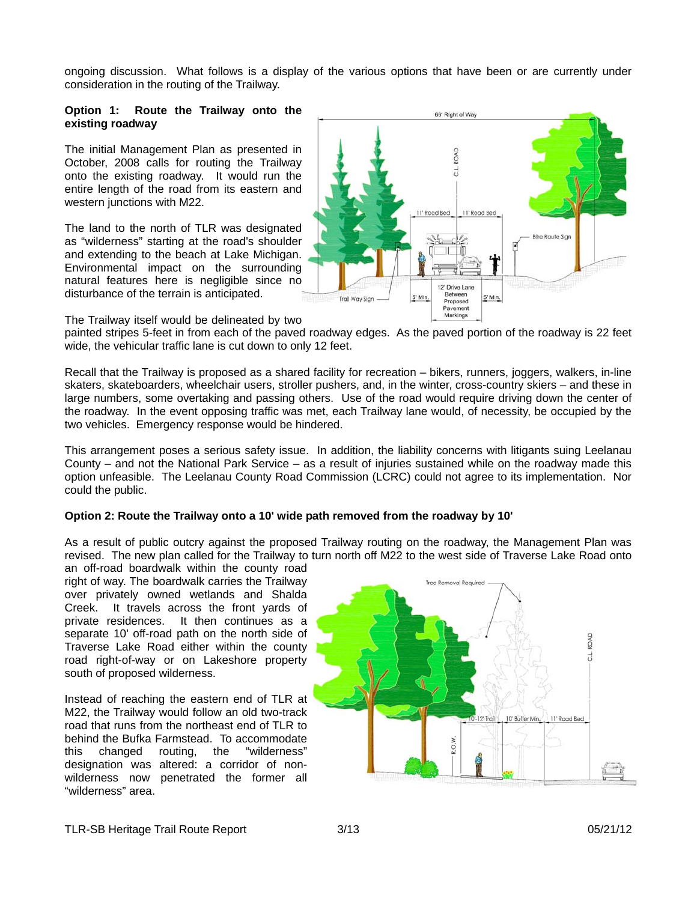ongoing discussion. What follows is a display of the various options that have been or are currently under consideration in the routing of the Trailway.

#### **Option 1: Route the Trailway onto the existing roadway**

The initial Management Plan as presented in October, 2008 calls for routing the Trailway onto the existing roadway. It would run the entire length of the road from its eastern and western junctions with M22.

The land to the north of TLR was designated as "wilderness" starting at the road's shoulder and extending to the beach at Lake Michigan. Environmental impact on the surrounding natural features here is negligible since no disturbance of the terrain is anticipated.



66' Right of Way

The Trailway itself would be delineated by two

painted stripes 5-feet in from each of the paved roadway edges. As the paved portion of the roadway is 22 feet wide, the vehicular traffic lane is cut down to only 12 feet.

Recall that the Trailway is proposed as a shared facility for recreation – bikers, runners, joggers, walkers, in-line skaters, skateboarders, wheelchair users, stroller pushers, and, in the winter, cross-country skiers – and these in large numbers, some overtaking and passing others. Use of the road would require driving down the center of the roadway. In the event opposing traffic was met, each Trailway lane would, of necessity, be occupied by the two vehicles. Emergency response would be hindered.

This arrangement poses a serious safety issue. In addition, the liability concerns with litigants suing Leelanau County – and not the National Park Service – as a result of injuries sustained while on the roadway made this option unfeasible. The Leelanau County Road Commission (LCRC) could not agree to its implementation. Nor could the public.

#### **ption 2: Route the Trailway onto a 10' wide path removed from the roadway by 10' O**

As a result of public outcry against the proposed Trailway routing on the roadway, the Management Plan was revised. The new plan called for the Trailway to turn north off M22 to the west side of Traverse Lake Road onto

an off-road boardwalk within the county road right of way. The boardwalk carries the Trailway over privately owned wetlands and Shalda Creek. It travels across the front yards of private residences. It then continues as a separate 10' off-road path on the north side of Traverse Lake Road either within the county road right-of-way or on Lakeshore property south of proposed wilderness.

Instead of reaching the eastern end of TLR at M22, the Trailway would follow an old two-track road that runs from the northeast end of TLR to behind the Bufka Farmstead. To accommodate this changed routing, the "wilderness" designation was altered: a corridor of nonwilderness now penetrated the former all "wilderness" area.

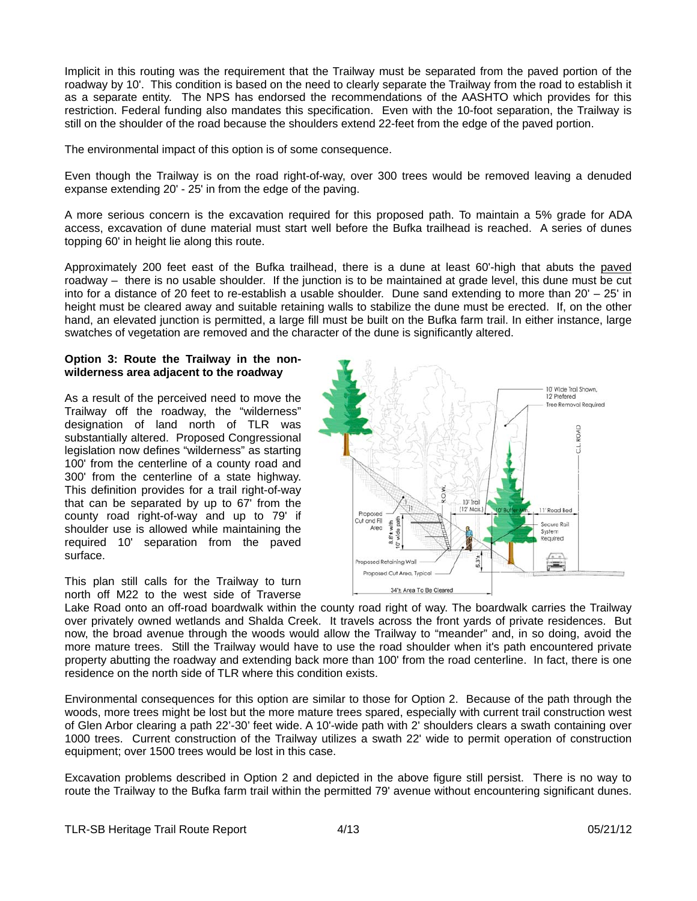Implicit in this routing was the requirement that the Trailway must be separated from the paved portion of the roadway by 10'. This condition is based on the need to clearly separate the Trailway from the road to establish it as a separate entity. The NPS has endorsed the recommendations of the AASHTO which provides for this restriction. Federal funding also mandates this specification. Even with the 10-foot separation, the Trailway is still on the shoulder of the road because the shoulders extend 22-feet from the edge of the paved portion.

The environmental impact of this option is of some consequence.

Even though the Trailway is on the road right-of-way, over 300 trees would be removed leaving a denuded expanse extending 20' - 25' in from the edge of the paving.

A more serious concern is the excavation required for this proposed path. To maintain a 5% grade for ADA access, excavation of dune material must start well before the Bufka trailhead is reached. A series of dunes topping 60' in height lie along this route.

Approximately 200 feet east of the Bufka trailhead, there is a dune at least 60'-high that abuts the paved roadway – there is no usable shoulder. If the junction is to be maintained at grade level, this dune must be cut into for a distance of 20 feet to re-establish a usable shoulder. Dune sand extending to more than 20' – 25' in height must be cleared away and suitable retaining walls to stabilize the dune must be erected. If, on the other hand, an elevated junction is permitted, a large fill must be built on the Bufka farm trail. In either instance, large swatches of vegetation are removed and the character of the dune is significantly altered.

#### Option 3: Route the Trailway in the non**wilderness area adjacent to the roadway**

As a result of the perceived need to move the Trailway off the roadway, the "wilderness" designation of land north of TLR was substantially altered. Proposed Congressional legislation now defines "wilderness" as starting 100' from the centerline of a county road and 300' from the centerline of a state highway. This definition provides for a trail right-of-way that can be separated by up to 67' from the county road right-of-way and up to 79' if shoulder use is allowed while maintaining the required 10' separation from the paved surface.

This plan still calls for the Trailway to turn north off M22 to the west side of Traverse



Lake Road onto an off-road boardwalk within the county road right of way. The boardwalk carries the Trailway over privately owned wetlands and Shalda Creek. It travels across the front yards of private residences. But now, the broad avenue through the woods would allow the Trailway to "meander" and, in so doing, avoid the more mature trees. Still the Trailway would have to use the road shoulder when it's path encountered private property abutting the roadway and extending back more than 100' from the road centerline. In fact, there is one residence on the north side of TLR where this condition exists.

Environmental consequences for this option are similar to those for Option 2. Because of the path through the woods, more trees might be lost but the more mature trees spared, especially with current trail construction west of Glen Arbor clearing a path 22'-30' feet wide. A 10'-wide path with 2' shoulders clears a swath containing over 1000 trees. Current construction of the Trailway utilizes a swath 22' wide to permit operation of construction equipment; over 1500 trees would be lost in this case.

Excavation problems described in Option 2 and depicted in the above figure still persist. There is no way to route the Trailway to the Bufka farm trail within the permitted 79' avenue without encountering significant dunes.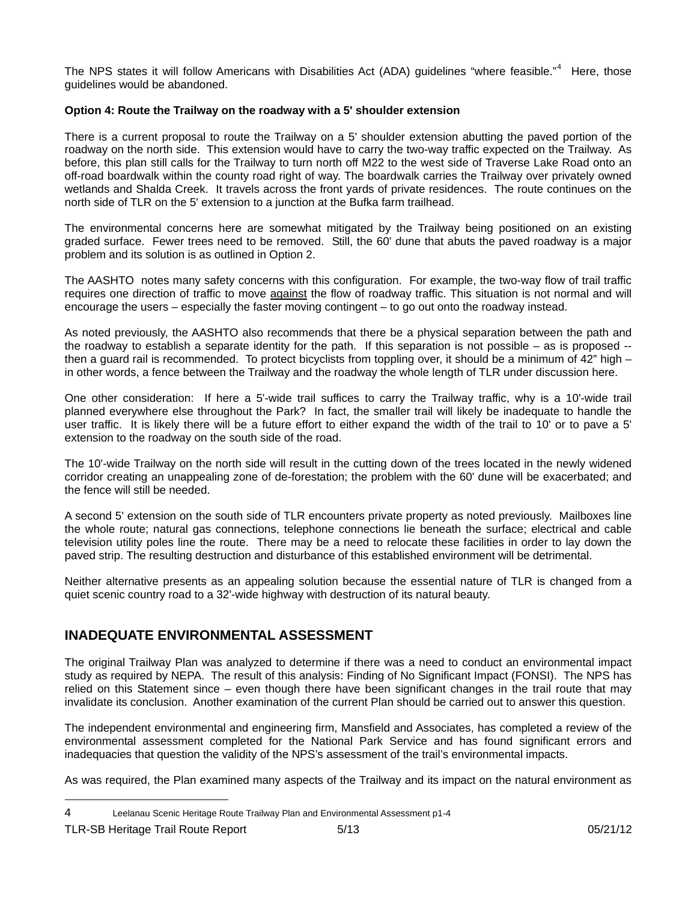The NPS states it will follow Americans with Disabilities Act (ADA) guidelines "where feasible."<sup>[4](#page-4-0)</sup> Here, those guidelines would be abandoned.

#### **Option 4: Route the Trailway on the roadway with a 5' shoulder extension**

There is a current proposal to route the Trailway on a 5' shoulder extension abutting the paved portion of the roadway on the north side. This extension would have to carry the two-way traffic expected on the Trailway. As before, this plan still calls for the Trailway to turn north off M22 to the west side of Traverse Lake Road onto an off-road boardwalk within the county road right of way. The boardwalk carries the Trailway over privately owned wetlands and Shalda Creek. It travels across the front yards of private residences. The route continues on the north side of TLR on the 5' extension to a junction at the Bufka farm trailhead.

The environmental concerns here are somewhat mitigated by the Trailway being positioned on an existing graded surface. Fewer trees need to be removed. Still, the 60' dune that abuts the paved roadway is a major problem and its solution is as outlined in Option 2.

The AASHTO notes many safety concerns with this configuration. For example, the two-way flow of trail traffic requires one direction of traffic to move against the flow of roadway traffic. This situation is not normal and will encourage the users – especially the faster moving contingent – to go out onto the roadway instead.

As noted previously, the AASHTO also recommends that there be a physical separation between the path and the roadway to establish a separate identity for the path. If this separation is not possible – as is proposed - then a guard rail is recommended. To protect bicyclists from toppling over, it should be a minimum of 42" high in other words, a fence between the Trailway and the roadway the whole length of TLR under discussion here.

One other consideration: If here a 5'-wide trail suffices to carry the Trailway traffic, why is a 10'-wide trail planned everywhere else throughout the Park? In fact, the smaller trail will likely be inadequate to handle the user traffic. It is likely there will be a future effort to either expand the width of the trail to 10' or to pave a 5' extension to the roadway on the south side of the road.

The 10'-wide Trailway on the north side will result in the cutting down of the trees located in the newly widened corridor creating an unappealing zone of de-forestation; the problem with the 60' dune will be exacerbated; and the fence will still be needed.

A second 5' extension on the south side of TLR encounters private property as noted previously. Mailboxes line the whole route; natural gas connections, telephone connections lie beneath the surface; electrical and cable television utility poles line the route. There may be a need to relocate these facilities in order to lay down the paved strip. The resulting destruction and disturbance of this established environment will be detrimental.

Neither alternative presents as an appealing solution because the essential nature of TLR is changed from a quiet scenic country road to a 32'-wide highway with destruction of its natural beauty.

## **INADEQUATE ENVIRONMENTAL ASSESSMENT**

The original Trailway Plan was analyzed to determine if there was a need to conduct an environmental impact study as required by NEPA. The result of this analysis: Finding of No Significant Impact (FONSI). The NPS has relied on this Statement since – even though there have been significant changes in the trail route that may invalidate its conclusion. Another examination of the current Plan should be carried out to answer this question.

The independent environmental and engineering firm, Mansfield and Associates, has completed a review of the environmental assessment completed for the National Park Service and has found significant errors and inadequacies that question the validity of the NPS's assessment of the trail's environmental impacts.

As was required, the Plan examined many aspects of the Trailway and its impact on the natural environment as

<span id="page-4-0"></span><sup>4</sup> Leelanau Scenic Heritage Route Trailway Plan and Environmental Assessment p1-4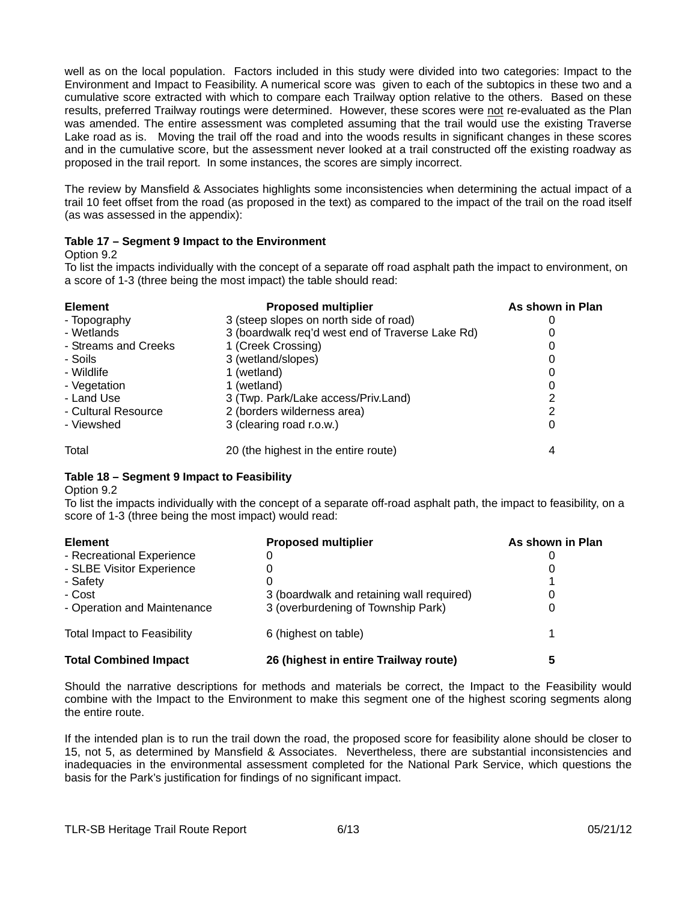well as on the local population. Factors included in this study were divided into two categories: Impact to the Environment and Impact to Feasibility. A numerical score was given to each of the subtopics in these two and a cumulative score extracted with which to compare each Trailway option relative to the others. Based on these results, preferred Trailway routings were determined. However, these scores were not re-evaluated as the Plan was amended. The entire assessment was completed assuming that the trail would use the existing Traverse Lake road as is. Moving the trail off the road and into the woods results in significant changes in these scores and in the cumulative score, but the assessment never looked at a trail constructed off the existing roadway as proposed in the trail report. In some instances, the scores are simply incorrect.

The review by Mansfield & Associates highlights some inconsistencies when determining the actual impact of a trail 10 feet offset from the road (as proposed in the text) as compared to the impact of the trail on the road itself (as was assessed in the appendix):

### **Table 17 – Segment 9 Impact to the Environment**

Option 9.2

To list the impacts individually with the concept of a separate off road asphalt path the impact to environment, on a score of 1-3 (three being the most impact) the table should read:

| <b>Element</b>       | <b>Proposed multiplier</b>                       | As shown in Plan |
|----------------------|--------------------------------------------------|------------------|
| - Topography         | 3 (steep slopes on north side of road)           |                  |
| - Wetlands           | 3 (boardwalk req'd west end of Traverse Lake Rd) |                  |
| - Streams and Creeks | 1 (Creek Crossing)                               |                  |
| - Soils              | 3 (wetland/slopes)                               |                  |
| - Wildlife           | 1 (wetland)                                      |                  |
| - Vegetation         | 1 (wetland)                                      |                  |
| - Land Use           | 3 (Twp. Park/Lake access/Priv.Land)              |                  |
| - Cultural Resource  | 2 (borders wilderness area)                      |                  |
| - Viewshed           | 3 (clearing road r.o.w.)                         |                  |
| Total                | 20 (the highest in the entire route)             |                  |

#### **Table 18 – Segment 9 Impact to Feasibility**

Option 9.2

To list the impacts individually with the concept of a separate off-road asphalt path, the impact to feasibility, on a score of 1-3 (three being the most impact) would read:

| <b>Element</b>                     | <b>Proposed multiplier</b>                | As shown in Plan |  |
|------------------------------------|-------------------------------------------|------------------|--|
| - Recreational Experience          | 0                                         |                  |  |
| - SLBE Visitor Experience          | 0                                         |                  |  |
| - Safety                           | 0                                         |                  |  |
| - Cost                             | 3 (boardwalk and retaining wall required) |                  |  |
| - Operation and Maintenance        | 3 (overburdening of Township Park)        |                  |  |
| <b>Total Impact to Feasibility</b> | 6 (highest on table)                      |                  |  |
| <b>Total Combined Impact</b>       | 26 (highest in entire Trailway route)     |                  |  |

Should the narrative descriptions for methods and materials be correct, the Impact to the Feasibility would combine with the Impact to the Environment to make this segment one of the highest scoring segments along the entire route.

If the intended plan is to run the trail down the road, the proposed score for feasibility alone should be closer to 15, not 5, as determined by Mansfield & Associates. Nevertheless, there are substantial inconsistencies and inadequacies in the environmental assessment completed for the National Park Service, which questions the basis for the Park's justification for findings of no significant impact.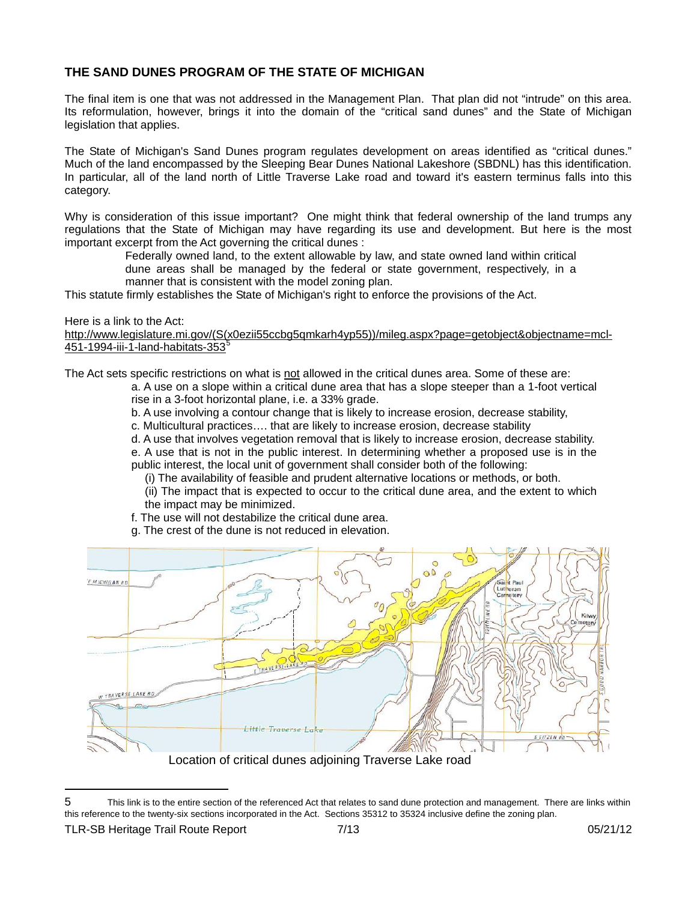### **THE SAND DUNES PROGRAM OF THE STATE OF MICHIGAN**

The final item is one that was not addressed in the Management Plan. That plan did not "intrude" on this area. Its reformulation, however, brings it into the domain of the "critical sand dunes" and the State of Michigan legislation that applies.

The State of Michigan's Sand Dunes program regulates development on areas identified as "critical dunes." Much of the land encompassed by the Sleeping Bear Dunes National Lakeshore (SBDNL) has this identification. In particular, all of the land north of Little Traverse Lake road and toward it's eastern terminus falls into this category.

Why is consideration of this issue important? One might think that federal ownership of the land trumps any regulations that the State of Michigan may have regarding its use and development. But here is the most important excerpt from the Act governing the critical dunes :

Federally owned land, to the extent allowable by law, and state owned land within critical

dune areas shall be managed by the federal or state government, respectively, in a manner that is consistent with the model zoning plan.

This statute firmly establishes the State of Michigan's right to enforce the provisions of the Act.

### Here is a link to the Act:

[http://www.legislature.mi.gov/\(S\(x0ezii55ccbg5qmkarh4yp55\)\)/mileg.aspx?page=getobject&objectname=mcl-](http://www.legislature.mi.gov/(S(x0ezii55ccbg5qmkarh4yp55))/mileg.aspx?page=getobject&objectname=mcl-451-1994-iii-1-land-habitats-353)[451-1994-iii-1-land-habitats-353](http://www.legislature.mi.gov/(S(x0ezii55ccbg5qmkarh4yp55))/mileg.aspx?page=getobject&objectname=mcl-451-1994-iii-1-land-habitats-353)[5](#page-6-0)

The Act sets specific restrictions on what is not allowed in the critical dunes area. Some of these are:

a. A use on a slope within a critical dune area that has a slope steeper than a 1-foot vertical rise in a 3-foot horizontal plane, i.e. a 33% grade.

b. A use involving a contour change that is likely to increase erosion, decrease stability,

c. Multicultural practices…. that are likely to increase erosion, decrease stability

d. A use that involves vegetation removal that is likely to increase erosion, decrease stability.

- e. A use that is not in the public interest. In determining whether a proposed use is in the public interest, the local unit of government shall consider both of the following:
	- (i) The availability of feasible and prudent alternative locations or methods, or both.
	- (ii) The impact that is expected to occur to the critical dune area, and the extent to which the impact may be minimized.
- f. The use will not destabilize the critical dune area.
- g. The crest of the dune is not reduced in elevation.



<span id="page-6-0"></span><sup>5</sup> This link is to the entire section of the referenced Act that relates to sand dune protection and management. There are links within this reference to the twenty-six sections incorporated in the Act. Sections 35312 to 35324 inclusive define the zoning plan.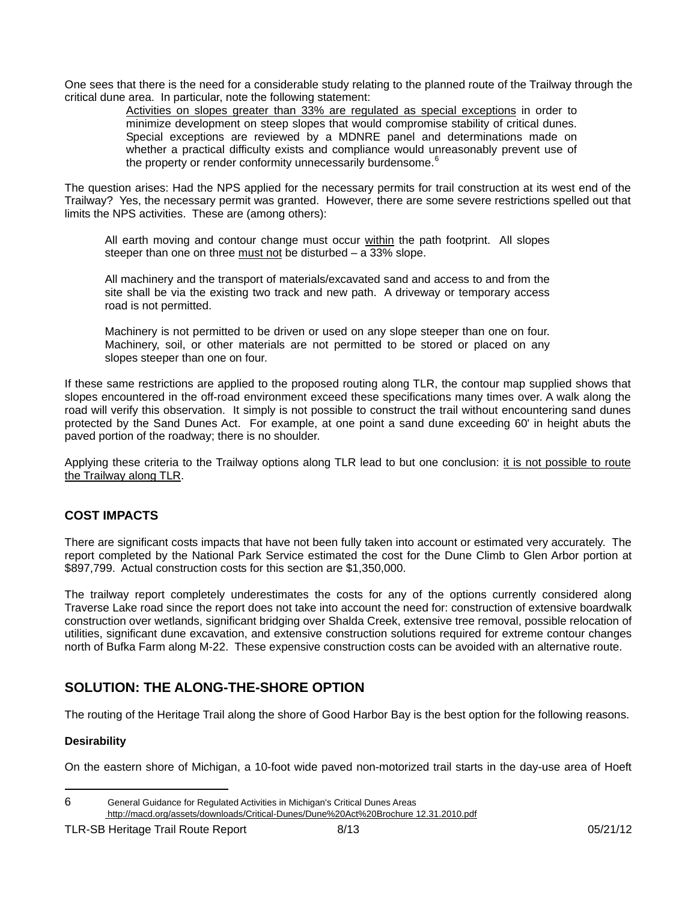One sees that there is the need for a considerable study relating to the planned route of the Trailway through the critical dune area. In particular, note the following statement:

Activities on slopes greater than 33% are regulated as special exceptions in order to minimize development on steep slopes that would compromise stability of critical dunes. Special exceptions are reviewed by a MDNRE panel and determinations made on whether a practical difficulty exists and compliance would unreasonably prevent use of the property or render conformity unnecessarily burdensome.<sup>6</sup>

The question arises: Had the NPS applied for the necessary permits for trail construction at its west end of the Trailway? Yes, the necessary permit was granted. However, there are some severe restrictions spelled out that limits the NPS activities. These are (among others):

All earth moving and contour change must occur within the path footprint. All slopes steeper than one on three must not be disturbed – a 33% slope.

All machinery and the transport of materials/excavated sand and access to and from the site shall be via the existing two track and new path. A driveway or temporary access road is not p ermitted.

slop es steeper than one on four. Machinery is not permitted to be driven or used on any slope steeper than one on four. Machinery, soil, or other materials are not permitted to be stored or placed on any

If these same restrictions are applied to the proposed routing along TLR, the contour map supplied shows that slopes encountered in the off-road environment exceed these specifications many times over. A walk along the road will verify this observation. It simply is not possible to construct the trail without encountering sand dunes protected by the Sand Dunes Act. For example, at one point a sand dune exceeding 60' in height abuts the paved portion of the roadway; there is no shoulder.

Applying these criteria to the Trailway options along TLR lead to but one conclusion: it is not possible to route the Trailway along TLR.

### **COST I MPACTS**

There are significant costs impacts that have not been fully taken into account or estimated very accurately. The report completed by the National Park Service estimated the cost for the Dune Climb to Glen Arbor portion at \$897,79 9. Actual construction costs for this section are \$1,350,000.

The trailway report completely underestimates the costs for any of the options currently considered along Traverse Lake road since the report does not take into account the need for: construction of extensive boardwalk construction over wetlands, significant bridging over Shalda Creek, extensive tree removal, possible relocation of utilities, significant dune excavation, and extensive construction solutions required for extreme contour changes north of Bufka Farm along M-22. These expensive construction costs can be avoided with an alternative route.

# **SOLUTION: THE ALONG-THE-SHORE OPTION**

The routing of the Heritage Trail along the shore of Good Harbor Bay is the best option for the following reasons.

### **esirability D**

On the eastern shore of Michigan, a 10-foot wide paved non-motorized trail starts in the day-use area of Hoeft

l

<sup>6</sup> General Guidance for Regulated Activities in Michigan's Critical Dunes Areas  [http://macd.org/assets/downloads/Critical-Dunes/Dune%20Act%20Brochure 12.31.2010.pdf](http://macd.org/assets/downloads/Critical-Dunes/Dune%20Act%20Brochure%2012.31.2010.pdf)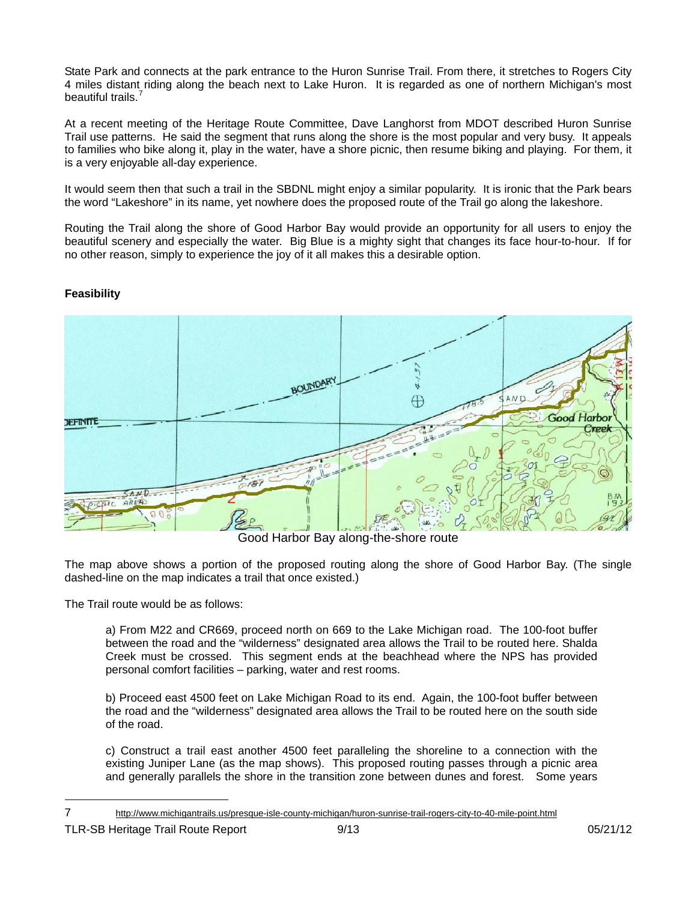State Park and connects at the park entrance to the Huron Sunrise Trail. From there, it stretches to Rogers City 4 miles distant riding along the beach next to Lake Huron. It is regarded as one of northern Michigan's most beautiful trails.<sup>4</sup>

At a recent meeting of the Heritage Route Committee, Dave Langhorst from MDOT described Huron Sunrise Trail use patterns. He said the segment that runs along the shore is the most popular and very busy. It appeals to families who bike along it, play in the water, have a shore picnic, then resume biking and playing. For them, it is a very enjoyable all-day experience.

the word "Lakeshore" in its name, yet nowhere does the proposed route of the Trail go along the lakeshore. It would seem then that such a trail in the SBDNL might enjoy a similar popularity. It is ironic that the Park bears

Routing the Trail along the shore of Good Harbor Bay would provide an opportunity for all users to enjoy the beautiful scenery and especially the water. Big Blue is a mighty sight that changes its face hour-to-hour. If for no other reason, simply to experience the joy of it all makes this a desirable option.

# **Feasibility**



Good Harbor Bay along-the-shore route

The map above shows a portion of the proposed routing along the shore of Good Harbor Bay. (The single dashed-line on the map indicates a trail that once existed.)

The Trail route would be as follows:

a) From M22 and CR669, proceed north on 669 to the Lake Michigan road. The 100-foot buffer between the road and the "wilderness" designated area allows the Trail to be routed here. Shalda Creek must be crossed. This segment ends at the beachhead where the NPS has provided personal comfort facilities – parking, water and rest rooms.

b) Proceed east 4500 feet on Lake Michigan Road to its end. Again, the 100-foot buffer between the road and the "wilderness" designated area allows the Trail to be routed here on the south side of the road.

c) Construct a trail east another 4500 feet paralleling the shoreline to a connection with the existing Juniper Lane (as the map shows). This proposed routing passes through a picnic area and generally parallels the shore in the transition zone between dunes and forest. Some years

<sup>7</sup> <http://www.michigantrails.us/presque-isle-county-michigan/huron-sunrise-trail-rogers-city-to-40-mile-point.html>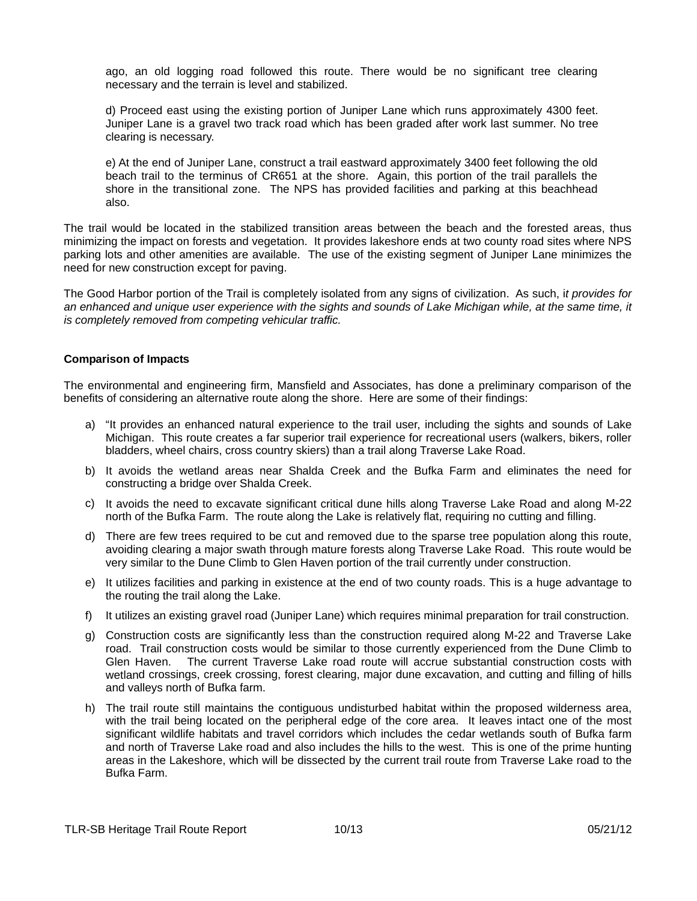ago, an old logging road followed this route. There would be no significant tree clearing necessary and the terrain is level and stabilized.

d) Proceed east using the existing portion of Juniper Lane which runs approximately 4300 feet. Juniper Lane is a gravel two track road which has been graded after work last summer. No tree clearing is necessary.

e) At the end of Juniper Lane, construct a trail eastward approximately 3400 feet following the old beach trail to the terminus of CR651 at the shore. Again, this portion of the trail parallels the shore in the transitional zone. The NPS has provided facilities and parking at this beachhead also.

The trail would be located in the stabilized transition areas between the beach and the forested areas, thus minimizing the impact on forests and vegetation. It provides lakeshore ends at two county road sites where NPS parking lots and other amenities are available. The use of the existing segment of Juniper Lane minimizes the need for new construction except for paving.

The Good Harbor portion of the Trail is completely isolated from any signs of civilization. As such, i*t provides for* an enhanced and unique user experience with the sights and sounds of Lake Michigan while, at the same time, it *is completely removed from competing vehicular traffic.* 

#### **Comparison of Impacts**

The environmental and engineering firm, Mansfield and Associates, has done a preliminary comparison of the benefits of considering an alternative route along the shore. Here are some of their findings:

- a) "It provides an enhanced natural experience to the trail user, including the sights and sounds of Lake Michigan. This route creates a far superior trail experience for recreational users (walkers, bikers, roller bladders, wheel chairs, cross country skiers) than a trail along Traverse Lake Road.
- b) It avoids the wetland areas near Shalda Creek and the Bufka Farm and eliminates the need for constructing a bridge over Shalda Creek.
- c) It avoids the need to excavate significant critical dune hills along Traverse Lake Road and along M-22 north of the Bufka Farm. The route along the Lake is relatively flat, requiring no cutting and filling.
- d) There are few trees required to be cut and removed due to the sparse tree population along this route, avoiding clearing a major swath through mature forests along Traverse Lake Road. This route would be very similar to the Dune Climb to Glen Haven portion of the trail currently under construction.
- e) It utilizes facilities and parking in existence at the end of two county roads. This is a huge advantage to the routing the trail along the Lake.
- f) It utilizes an existing gravel road (Juniper Lane) which requires minimal preparation for trail construction.
- g) Construction costs are significantly less than the construction required along M-22 and Traverse Lake road. Trail construction costs would be similar to those currently experienced from the Dune Climb to Glen Haven. The current Traverse Lake road route will accrue substantial construction costs with wetland crossings, creek crossing, forest clearing, major dune excavation, and cutting and filling of hills and valleys north of Bufka farm.
- significant wildlife habitats and travel corridors which includes the cedar wetlands south of Bufka farm and north of Traverse Lake road and also includes the hills to the west. This is one of the prime hunting h) The trail route still maintains the contiguous undisturbed habitat within the proposed wilderness area, with the trail being located on the peripheral edge of the core area. It leaves intact one of the most areas in the Lakeshore, which will be dissected by the current trail route from Traverse Lake road to the Bufka Farm.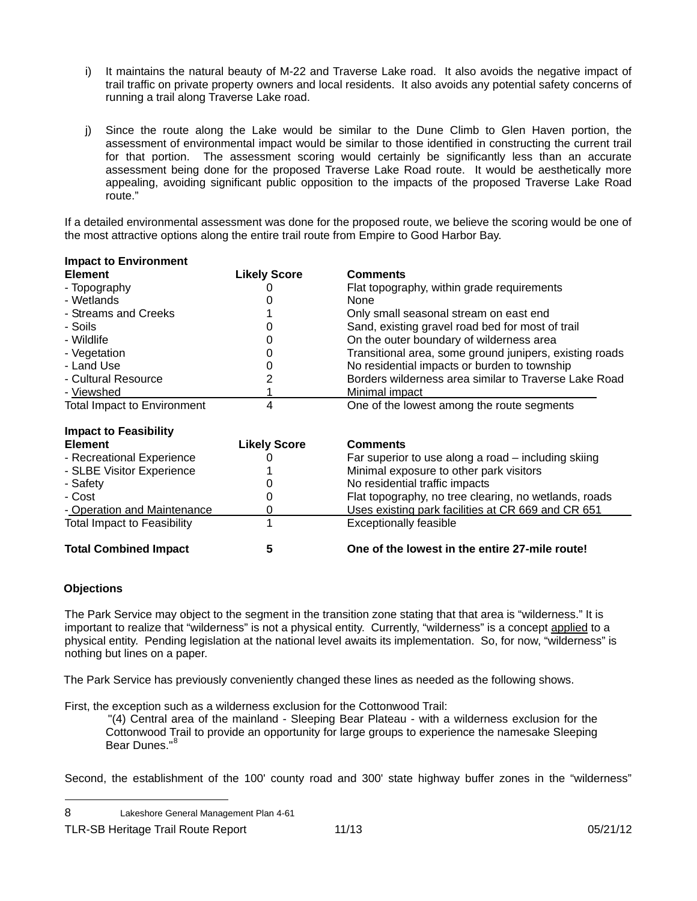- i) It maintains the natural beauty of M-22 and Traverse Lake road. It also avoids the negative impact of trail traffic on private property owners and local residents. It also avoids any potential safety concerns of running a trail along Traverse Lake road.
- j) Since the route along the Lake would be similar to the Dune Climb to Glen Haven portion, the appealing, avoiding significant public opposition to the impacts of the proposed Traverse Lake Road assessment of environmental impact would be similar to those identified in constructing the current trail for that portion. The assessment scoring would certainly be significantly less than an accurate assessment being done for the proposed Traverse Lake Road route. It would be aesthetically more route."

If a detailed environmental assessment was done for the proposed route, we believe the scoring would be one of the most attractive options along the entire trail route from Empire to Good Harbor Bay.

| <b>Impact to Environment</b>       |                     |                                                         |
|------------------------------------|---------------------|---------------------------------------------------------|
| <b>Element</b>                     | <b>Likely Score</b> | <b>Comments</b>                                         |
| - Topography                       |                     | Flat topography, within grade requirements              |
| - Wetlands                         |                     | None                                                    |
| - Streams and Creeks               |                     | Only small seasonal stream on east end                  |
| - Soils                            | 0                   | Sand, existing gravel road bed for most of trail        |
| - Wildlife                         | O                   | On the outer boundary of wilderness area                |
| - Vegetation                       |                     | Transitional area, some ground junipers, existing roads |
| - Land Use                         |                     | No residential impacts or burden to township            |
| - Cultural Resource                |                     | Borders wilderness area similar to Traverse Lake Road   |
| - Viewshed                         |                     | Minimal impact                                          |
| <b>Total Impact to Environment</b> | 4                   | One of the lowest among the route segments              |
| Impact to Epacibility              |                     |                                                         |

| <b>INDUCT TO L CASIDING</b>        |                     |                                                       |
|------------------------------------|---------------------|-------------------------------------------------------|
| <b>Element</b>                     | <b>Likely Score</b> | <b>Comments</b>                                       |
| - Recreational Experience          |                     | Far superior to use along a road - including skiing   |
| - SLBE Visitor Experience          |                     | Minimal exposure to other park visitors               |
| - Safety                           |                     | No residential traffic impacts                        |
| - Cost                             |                     | Flat topography, no tree clearing, no wetlands, roads |
| - Operation and Maintenance        |                     | Uses existing park facilities at CR 669 and CR 651    |
| <b>Total Impact to Feasibility</b> |                     | <b>Exceptionally feasible</b>                         |
| <b>Total Combined Impact</b>       |                     | One of the lowest in the entire 27-mile route!        |

### **Objections**

l

The Park Service may object to the segment in the transition zone stating that that area is "wilderness." It is important to realize that "wilderness" is not a physical entity. Currently, "wilderness" is a concept applied to a physical entity. Pending legislation at the national level awaits its implementation. So, for now, "wilderness" is nothing but lines on a paper.

The Park Service has previously conveniently changed these lines as needed as the following shows.

First, the exception such as a wilderness exclusion for the Cottonwood Trail:

"(4) Central area of the mainland - Sleeping Bear Plateau - with a wilderness exclusion for the Cottonwood Trail to provide an opportunity for large groups to experience the namesake Sleeping Bear Dunes."<sup>8</sup>

Second, the establishment of the 100' county road and 300' state highway buffer zones in the "wilderness"

<sup>8</sup> Lakeshore General Management Plan 4-61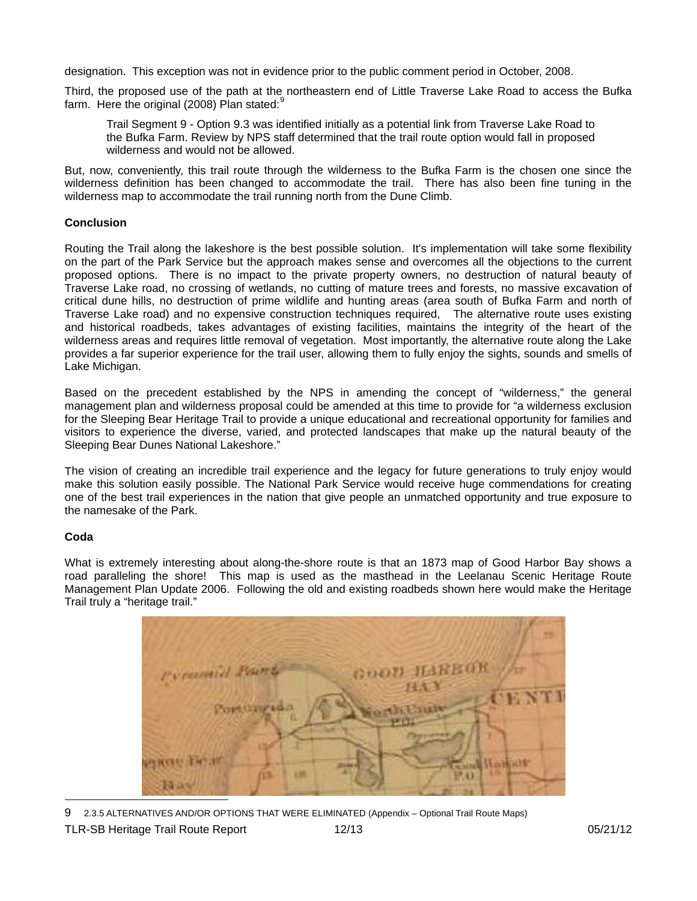designation. This exception was not in evidence prior to the public comment period in October, 2008.

Third, the proposed use of the path at the northeastern end of Little Traverse Lake Road to access the Bufka farm. Here the original (2008) Plan stated:<sup>9</sup>

Trail Segment 9 - Option 9.3 was identified initially as a potential link from Traverse Lake Road to the Bufka Farm. Review by NPS staff determined that the trail route option would fall in proposed wilderness and would not be allowed.

But, now, conveniently, this trail route through the wilderness to the Bufka Farm is the chosen one since the wilderness definition has been changed to accommodate the trail. There has also been fine tuning in the wilderness map to accommodate the trail running north from the Dune Climb.

### **Conclusion**

Routing the Trail along the lakeshore is the best possible solution. It's implementation will take some flexibility on the part of the Park Service but the approach makes sense and overcomes all the objections to the current proposed options. There is no impact to the private property owners, no destruction of natural beauty of Traverse Lake road, no crossing of wetlands, no cutting of mature trees and forests, no massive excavation of critical dune hills, no destruction of prime wildlife and hunting areas (area south of Bufka Farm and north of Traverse Lake road) and no expensive construction techniques required, The alternative route uses existing and historical roadbeds, takes advantages of existing facilities, maintains the integrity of the heart of the wilderness areas and requires little removal of vegetation. Most importantly, the alternative route along the Lake provides a far superior experience for the trail user, allowing them to fully enjoy the sights, sounds and smells of Lake Michigan.

Based on the precedent established by the NPS in amending the concept of "wilderness," the general management plan and wilderness proposal could be amended at this time to provide for "a wilderness exclusion for the Sleeping Bear Heritage Trail to provide a unique educational and recreational opportunity for families and visitors to experience the diverse, varied, and protected landscapes that make up the natural beauty of the Sleepin g Bear Dunes National Lakeshore."

The vision of creating an incredible trail experience and the legacy for future generations to truly enjoy would one of the best trail experiences in the nation that give people an unmatched opportunity and true exposure to make this solution easily possible. The National Park Service would receive huge commendations for creating the namesake of the Park.

### **Coda**

l

What is extremely interesting about along-the-shore route is that an 1873 map of Good Harbor Bay shows a road paralleling the shore! This map is used as the masthead in the Leelanau Scenic Heritage Route Management Plan Update 2006. Following the old and existing roadbeds shown here would make the Heritage Trail truly a "heritage trail."



9 2.3.5 ALTERNATIVES AND/OR OPTIONS THAT WERE ELIMINATED (Appendix – Optional Trail Route Maps)